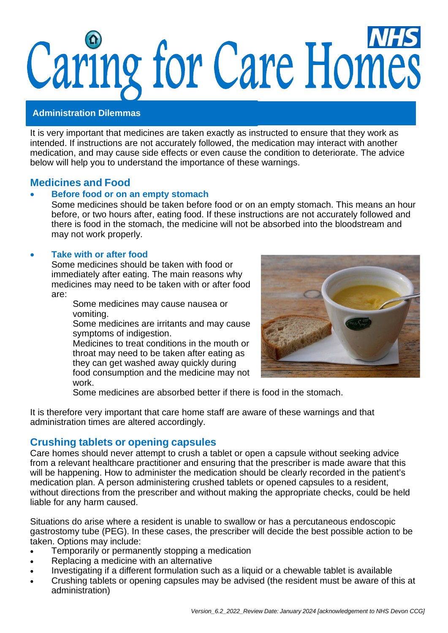# Caring for Care Homes

#### **Administration Dilemmas**

It is very important that medicines are taken exactly as instructed to ensure that they work as intended. If instructions are not accurately followed, the medication may interact with another medication, and may cause side effects or even cause the condition to deteriorate. The advice below will help you to understand the importance of these warnings.

# **Medicines and Food**

#### • **Before food or on an empty stomach**

Some medicines should be taken before food or on an empty stomach. This means an hour before, or two hours after, eating food. If these instructions are not accurately followed and there is food in the stomach, the medicine will not be absorbed into the bloodstream and may not work properly.

#### • **Take with or after food**

Some medicines should be taken with food or immediately after eating. The main reasons why medicines may need to be taken with or after food are:

Some medicines may cause nausea or vomiting.

Some medicines are irritants and may cause symptoms of indigestion.

Medicines to treat conditions in the mouth or throat may need to be taken after eating as they can get washed away quickly during food consumption and the medicine may not work.



Some medicines are absorbed better if there is food in the stomach.

It is therefore very important that care home staff are aware of these warnings and that administration times are altered accordingly.

# **Crushing tablets or opening capsules**

Care homes should never attempt to crush a tablet or open a capsule without seeking advice from a relevant healthcare practitioner and ensuring that the prescriber is made aware that this will be happening. How to administer the medication should be clearly recorded in the patient's medication plan. A person administering crushed tablets or opened capsules to a resident, without directions from the prescriber and without making the appropriate checks, could be held liable for any harm caused.

Situations do arise where a resident is unable to swallow or has a percutaneous endoscopic gastrostomy tube (PEG). In these cases, the prescriber will decide the best possible action to be taken. Options may include:

- Temporarily or permanently stopping a medication
- Replacing a medicine with an alternative
- Investigating if a different formulation such as a liquid or a chewable tablet is available
- Crushing tablets or opening capsules may be advised (the resident must be aware of this at administration)